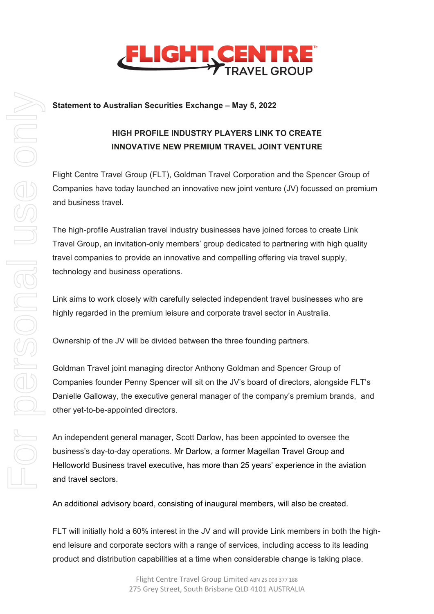

## **Statement to Australian Securities Exchange – May 5, 2022**

# **HIGH PROFILE INDUSTRY PLAYERS LINK TO CREATE INNOVATIVE NEW PREMIUM TRAVEL JOINT VENTURE**

Flight Centre Travel Group (FLT), Goldman Travel Corporation and the Spencer Group of Companies have today launched an innovative new joint venture (JV) focussed on premium and business travel.

The high-profile Australian travel industry businesses have joined forces to create Link Travel Group, an invitation-only members' group dedicated to partnering with high quality travel companies to provide an innovative and compelling offering via travel supply, technology and business operations.

Link aims to work closely with carefully selected independent travel businesses who are highly regarded in the premium leisure and corporate travel sector in Australia.

Ownership of the JV will be divided between the three founding partners.

Goldman Travel joint managing director Anthony Goldman and Spencer Group of Companies founder Penny Spencer will sit on the JV's board of directors, alongside FLT's Danielle Galloway, the executive general manager of the company's premium brands, and other yet-to-be-appointed directors.

An independent general manager, Scott Darlow, has been appointed to oversee the business's day-to-day operations. Mr Darlow, a former Magellan Travel Group and Helloworld Business travel executive, has more than 25 years' experience in the aviation and travel sectors.

An additional advisory board, consisting of inaugural members, will also be created.

FLT will initially hold a 60% interest in the JV and will provide Link members in both the highend leisure and corporate sectors with a range of services, including access to its leading product and distribution capabilities at a time when considerable change is taking place.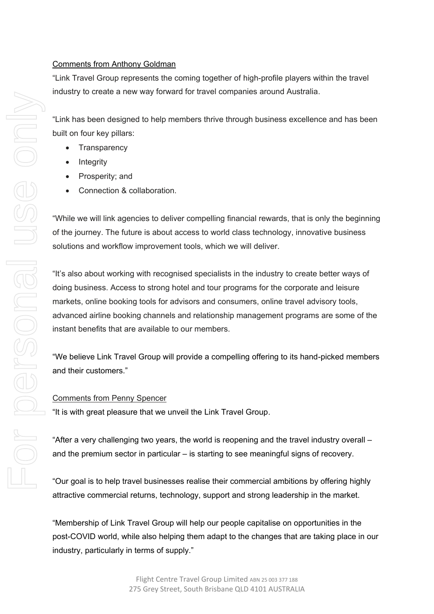## Comments from Anthony Goldman

"Link Travel Group represents the coming together of high-profile players within the travel industry to create a new way forward for travel companies around Australia.

"Link has been designed to help members thrive through business excellence and has been built on four key pillars:

- **Transparency**
- Integrity
- Prosperity; and
- Connection & collaboration.

"While we will link agencies to deliver compelling financial rewards, that is only the beginning of the journey. The future is about access to world class technology, innovative business solutions and workflow improvement tools, which we will deliver.

"It's also about working with recognised specialists in the industry to create better ways of doing business. Access to strong hotel and tour programs for the corporate and leisure markets, online booking tools for advisors and consumers, online travel advisory tools, advanced airline booking channels and relationship management programs are some of the instant benefits that are available to our members.

"We believe Link Travel Group will provide a compelling offering to its hand-picked members and their customers."

### Comments from Penny Spencer

"It is with great pleasure that we unveil the Link Travel Group.

"After a very challenging two years, the world is reopening and the travel industry overall – and the premium sector in particular – is starting to see meaningful signs of recovery.

"Our goal is to help travel businesses realise their commercial ambitions by offering highly attractive commercial returns, technology, support and strong leadership in the market.

"Membership of Link Travel Group will help our people capitalise on opportunities in the post-COVID world, while also helping them adapt to the changes that are taking place in our industry, particularly in terms of supply."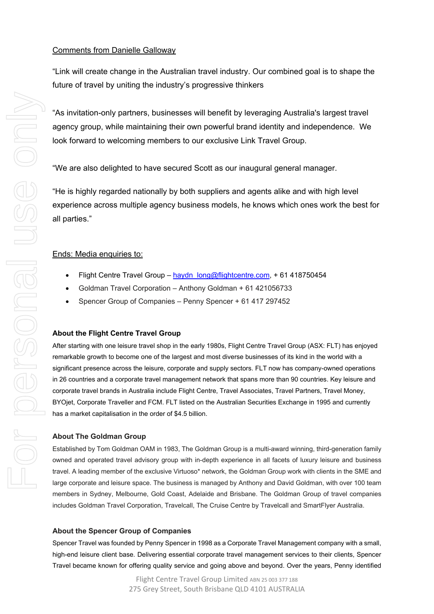"Link will create change in the Australian travel industry. Our combined goal is to shape the future of travel by uniting the industry's progressive thinkers

"As invitation-only partners, businesses will benefit by leveraging Australia's largest travel agency group, while maintaining their own powerful brand identity and independence. We look forward to welcoming members to our exclusive Link Travel Group.

"We are also delighted to have secured Scott as our inaugural general manager.

"He is highly regarded nationally by both suppliers and agents alike and with high level experience across multiple agency business models, he knows which ones work the best for all parties."

## Ends: Media enquiries to:

- Flight Centre Travel Group haydn long@flightcentre.com, + 61 418750454
- Goldman Travel Corporation Anthony Goldman + 61 421056733
- Spencer Group of Companies Penny Spencer + 61 417 297452

#### **About the Flight Centre Travel Group**

After starting with one leisure travel shop in the early 1980s, Flight Centre Travel Group (ASX: FLT) has enjoyed remarkable growth to become one of the largest and most diverse businesses of its kind in the world with a significant presence across the leisure, corporate and supply sectors. FLT now has company-owned operations in 26 countries and a corporate travel management network that spans more than 90 countries. Key leisure and corporate travel brands in Australia include Flight Centre, Travel Associates, Travel Partners, Travel Money, BYOjet, Corporate Traveller and FCM. FLT listed on the Australian Securities Exchange in 1995 and currently has a market capitalisation in the order of \$4.5 billion.

#### **About The Goldman Group**

Established by Tom Goldman OAM in 1983, The Goldman Group is a multi-award winning, third-generation family owned and operated travel advisory group with in-depth experience in all facets of luxury leisure and business travel. A leading member of the exclusive Virtuoso\* network, the Goldman Group work with clients in the SME and large corporate and leisure space. The business is managed by Anthony and David Goldman, with over 100 team members in Sydney, Melbourne, Gold Coast, Adelaide and Brisbane. The Goldman Group of travel companies includes Goldman Travel Corporation, Travelcall, The Cruise Centre by Travelcall and SmartFlyer Australia.

#### **About the Spencer Group of Companies**

Spencer Travel was founded by Penny Spencer in 1998 as a Corporate Travel Management company with a small, high-end leisure client base. Delivering essential corporate travel management services to their clients, Spencer Travel became known for offering quality service and going above and beyond. Over the years, Penny identified